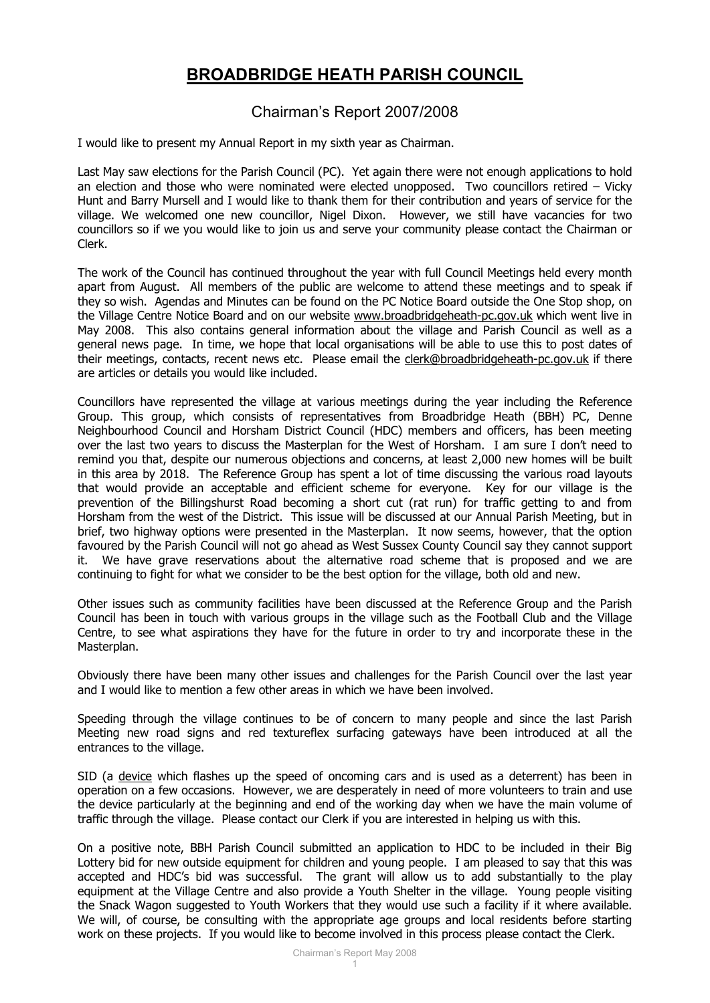## **BROADBRIDGE HEATH PARISH COUNCIL**

## Chairman's Report 2007/2008

I would like to present my Annual Report in my sixth year as Chairman.

Last May saw elections for the Parish Council (PC). Yet again there were not enough applications to hold an election and those who were nominated were elected unopposed. Two councillors retired – Vicky Hunt and Barry Mursell and I would like to thank them for their contribution and years of service for the village. We welcomed one new councillor, Nigel Dixon. However, we still have vacancies for two councillors so if we you would like to join us and serve your community please contact the Chairman or Clerk.

The work of the Council has continued throughout the year with full Council Meetings held every month apart from August. All members of the public are welcome to attend these meetings and to speak if they so wish. Agendas and Minutes can be found on the PC Notice Board outside the One Stop shop, on the Village Centre Notice Board and on our website [www.broadbridgeheath-pc.gov.uk](http://www.broadbridgeheath-pc.gov.uk/) which went live in May 2008. This also contains general information about the village and Parish Council as well as a general news page. In time, we hope that local organisations will be able to use this to post dates of their meetings, contacts, recent news etc. Please email the [clerk@broadbridgeheath-pc.gov.uk](mailto:clerk@broadbridgeheath-pc.gov.uk) if there are articles or details you would like included.

Councillors have represented the village at various meetings during the year including the Reference Group. This group, which consists of representatives from Broadbridge Heath (BBH) PC, Denne Neighbourhood Council and Horsham District Council (HDC) members and officers, has been meeting over the last two years to discuss the Masterplan for the West of Horsham. I am sure I don't need to remind you that, despite our numerous objections and concerns, at least 2,000 new homes will be built in this area by 2018. The Reference Group has spent a lot of time discussing the various road layouts that would provide an acceptable and efficient scheme for everyone. Key for our village is the prevention of the Billingshurst Road becoming a short cut (rat run) for traffic getting to and from Horsham from the west of the District. This issue will be discussed at our Annual Parish Meeting, but in brief, two highway options were presented in the Masterplan. It now seems, however, that the option favoured by the Parish Council will not go ahead as West Sussex County Council say they cannot support it. We have grave reservations about the alternative road scheme that is proposed and we are continuing to fight for what we consider to be the best option for the village, both old and new.

Other issues such as community facilities have been discussed at the Reference Group and the Parish Council has been in touch with various groups in the village such as the Football Club and the Village Centre, to see what aspirations they have for the future in order to try and incorporate these in the Masterplan.

Obviously there have been many other issues and challenges for the Parish Council over the last year and I would like to mention a few other areas in which we have been involved.

Speeding through the village continues to be of concern to many people and since the last Parish Meeting new road signs and red textureflex surfacing gateways have been introduced at all the entrances to the village.

SID (a device which flashes up the speed of oncoming cars and is used as a deterrent) has been in operation on a few occasions. However, we are desperately in need of more volunteers to train and use the device particularly at the beginning and end of the working day when we have the main volume of traffic through the village. Please contact our Clerk if you are interested in helping us with this.

On a positive note, BBH Parish Council submitted an application to HDC to be included in their Big Lottery bid for new outside equipment for children and young people. I am pleased to say that this was accepted and HDC's bid was successful. The grant will allow us to add substantially to the play equipment at the Village Centre and also provide a Youth Shelter in the village. Young people visiting the Snack Wagon suggested to Youth Workers that they would use such a facility if it where available. We will, of course, be consulting with the appropriate age groups and local residents before starting work on these projects. If you would like to become involved in this process please contact the Clerk.